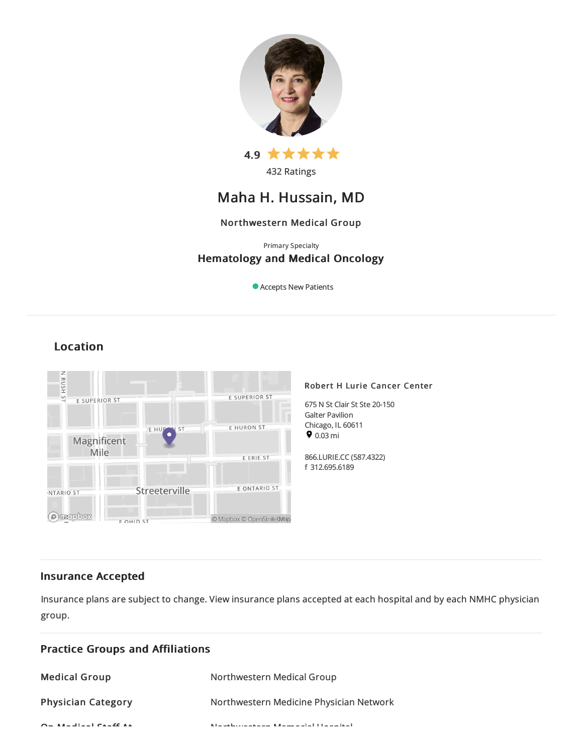

432 Ratings

# Maha H. Hussain, MD

# Northwestern Medical Group

# Primary Specialty Hematology and Medical Oncology

Accepts New Patients

# Location



# Insurance Accepted

Insurance plans are subject to change. View [insurance](https://www.nm.org/patients-and-visitors/billing-and-insurance/insurance-information/accepted-insurance-plans) plans accepted at each hospital and by each NMHC physician group.

| <b>Practice Groups and Affiliations</b>        |                                                                |
|------------------------------------------------|----------------------------------------------------------------|
| <b>Medical Group</b>                           | Northwestern Medical Group                                     |
| <b>Physician Category</b>                      | Northwestern Medicine Physician Network                        |
| $\sigma$ . And the strip of the strip $\sigma$ | Microsoft and a statement of the second with the team that has |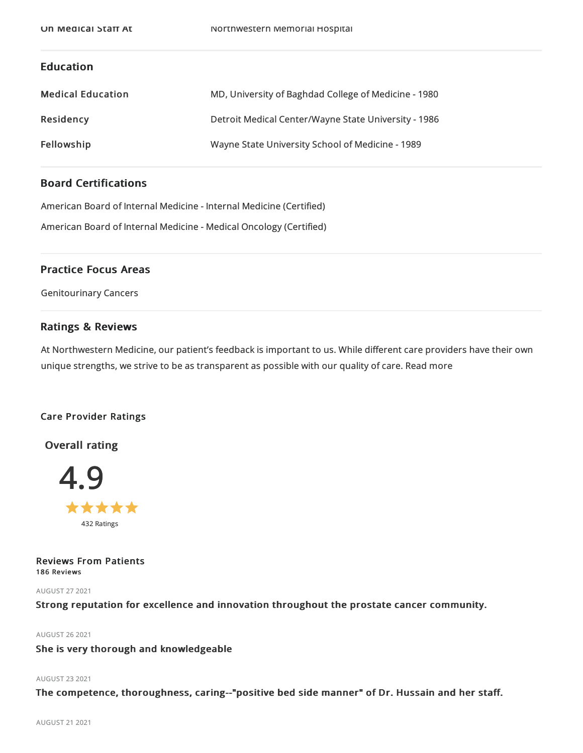# Education

| <b>Medical Education</b> | MD, University of Baghdad College of Medicine - 1980 |
|--------------------------|------------------------------------------------------|
| Residency                | Detroit Medical Center/Wayne State University - 1986 |
| Fellowship               | Wayne State University School of Medicine - 1989     |

# Board Certifications

American Board of Internal Medicine- Internal Medicine(Certified)

American Board of Internal Medicine- Medical Oncology (Certified)

# Practice Focus Areas

Genitourinary Cancers

# Ratings & Reviews

At Northwestern Medicine, our patient's feedback is important to us. While different care providers have their own unique strengths, we strive to be as transparent as possible with our quality of care. Read more

# Care Provider Ratings

Overall rating



Reviews From Patients 186 Reviews

AUGUST 272021

Strong reputation for excellence and innovation throughout the prostate cancer community.

AUGUST 262021

She is very thorough and knowledgeable

# AUGUST 232021

The competence, thoroughness, caring--"positive bed side manner" of Dr. Hussain and her staff.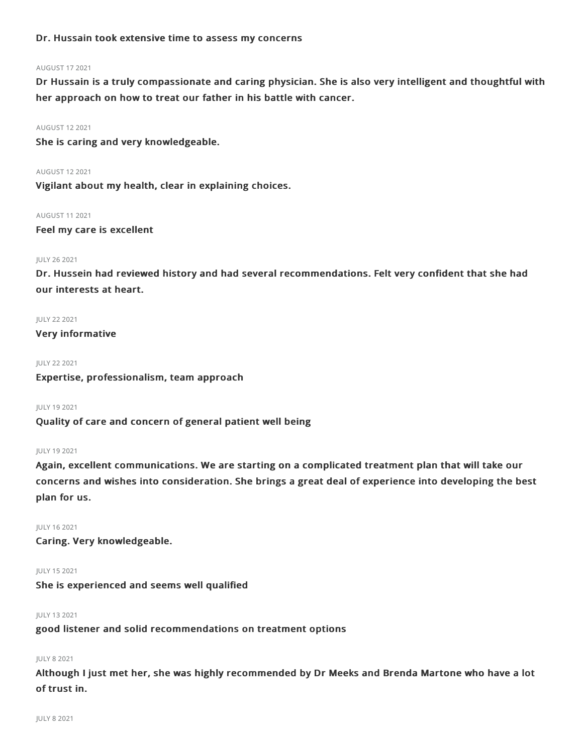# Dr. Hussain took extensive time to assess my concerns

# AUGUST 172021

Dr Hussain is a truly compassionate and caring physician. She is also very intelligent and thoughtful with her approach on how to treat our father in his battle with cancer.

#### AUGUST 122021

She is caring and very knowledgeable.

AUGUST 122021

Vigilant about my health, clear in explaining choices.

AUGUST 112021

Feel my care is excellent

# JULY 262021

Dr. Hussein had reviewed history and had several recommendations. Felt very confident that she had our interests at heart.

# JULY 222021

Very informative

### JULY 222021

Expertise, professionalism, team approach

JULY 192021

Quality of care and concern of general patient well being

### JULY 192021

Again, excellent communications. We are starting on a complicated treatment plan that will take our concerns and wishes into consideration. She brings a great deal of experience into developing the best plan for us.

JULY 162021

Caring. Very knowledgeable.

# JULY 152021

She is experienced and seems well qualified

JULY 132021

good listener and solid recommendations on treatment options

# JULY 82021

Although I just met her, she was highly recommended by Dr Meeks and Brenda Martone who have a lot of trust in.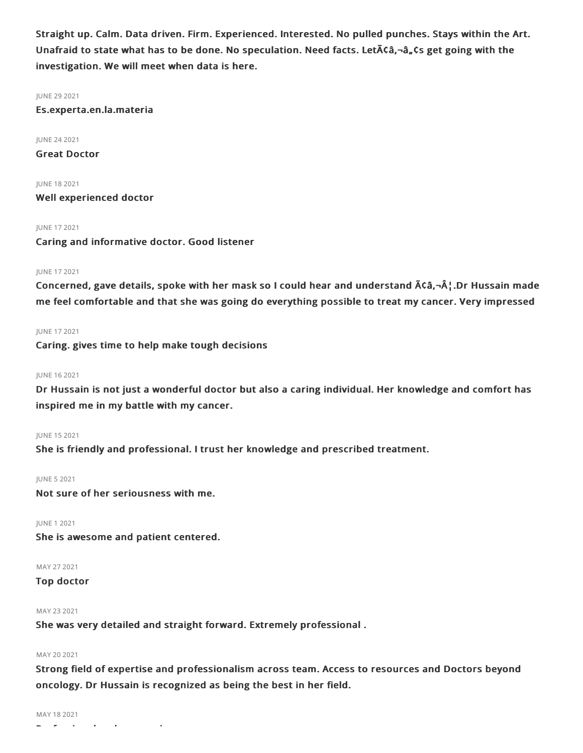Straight up. Calm. Data driven. Firm. Experienced. Interested. No pulled punches. Stays within the Art. Unafraid to state what has to be done. No speculation. Need facts. Let $\tilde{A}$  $\zeta$ a,  $\zeta$ s get going with the investigation. We will meet when data is here.

JUNE 29 2021 Es.experta.en.la.materia

JUNE 242021 Great Doctor

JUNE 182021 Well experienced doctor

JUNE 172021

Caring and informative doctor. Good listener

# JUNE 172021

Concerned, gave details, spoke with her mask so I could hear and understand  $\tilde{A}$ Câ, $\neg$ ¦.Dr Hussain made me feel comfortable and that she was going do everything possible to treat my cancer. Very impressed

JUNE 172021

Caring. gives time to help make tough decisions

# JUNE 162021

Dr Hussain is not just a wonderful doctor but also a caring individual. Her knowledge and comfort has inspired me in my battle with my cancer.

JUNE 152021

She is friendly and professional. I trust her knowledge and prescribed treatment.

JUNE 52021

Not sure of her seriousness with me.

JUNE 12021 She is awesome and patient centered.

MAY 272021

Top doctor

# MAY 232021

She was very detailed and straight forward. Extremely professional .

# MAY 20 2021

Strong field of expertise and professionalism across team. Access to resources and Doctors beyond oncology. Dr Hussain is recognized as being the best in her field.

MAY 182021

Professional and concerning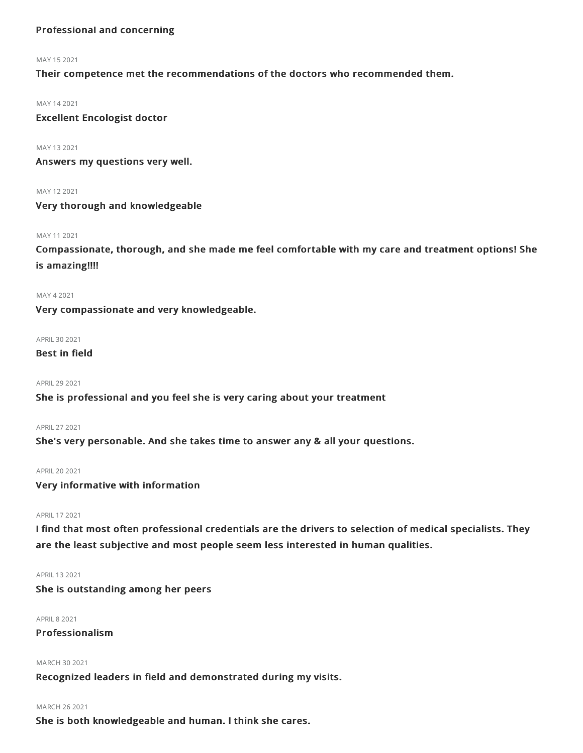# Professional and concerning

#### MAY 152021

Their competence met the recommendations of the doctors who recommended them.

# MAY 142021

Excellent Encologist doctor

### MAY 132021

Answers my questions very well.

MAY 122021

# Very thorough and knowledgeable

# MAY 112021

Compassionate, thorough, and she made me feel comfortable with my care and treatment options! She is amazing!!!!

MAY 42021

Very compassionate and very knowledgeable.

APRIL 30 2021

# Best in field

APRIL292021

# She is professional and you feel she is very caring about your treatment

APRIL272021

She's very personable. And she takes time to answer any & all your questions.

# APRIL202021

Very informative with information

# APRIL172021

I find that most often professional credentials are the drivers to selection of medical specialists. They are the least subjective and most people seem less interested in human qualities.

# APRIL 13 2021

She is outstanding among her peers

# **APRIL 8 2021**

# Professionalism

### MARCH 30 2021

Recognized leaders in field and demonstrated during my visits.

# MARCH 262021

She is both knowledgeable and human. I think she cares.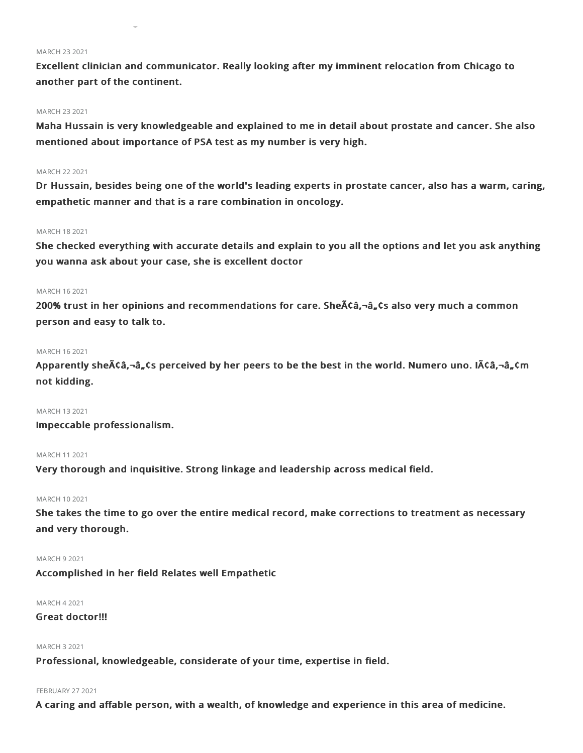#### **MARCH 23 2021**

Excellent clinician and communicator. Really looking after my imminent relocation from Chicago to another part of the continent.

She is both knowledgeable and human. I think she cares.

# MARCH 232021

Maha Hussain is very knowledgeable and explained to me in detail about prostate and cancer. She also mentioned about importance of PSA test as my number is very high.

# MARCH 222021

Dr Hussain, besides being one of the world's leading experts in prostate cancer, also has a warm, caring, empathetic manner and that is a rare combination in oncology.

# MARCH 182021

She checked everything with accurate details and explain to you all the options and let you ask anything you wanna ask about your case, she is excellent doctor

# MARCH 162021

200% trust in her opinions and recommendations for care. She $\tilde{A}\tilde{C}$ a,  $\tilde{C}$ also very much a common person and easy to talk to.

# MARCH 162021

Apparently she $\tilde{A}$ Câ,¬â,,Cs perceived by her peers to be the best in the world. Numero uno. I $\tilde{A}$ Câ,¬â,,Cm not kidding.

### MARCH 132021

Impeccable professionalism.

# MARCH 112021

Very thorough and inquisitive. Strong linkage and leadership across medical field.

# MARCH 102021

She takes the time to go over the entire medical record, make corrections to treatment as necessary and very thorough.

# MARCH 92021

Accomplished in her field Relates well Empathetic

### MARCH 42021

# Great doctor!!!

# MARCH 32021

Professional, knowledgeable, considerate of your time, expertise in field.

# **FEBRUARY 27 2021**

A caring and affable person, with a wealth, of knowledge and experience in this area of medicine.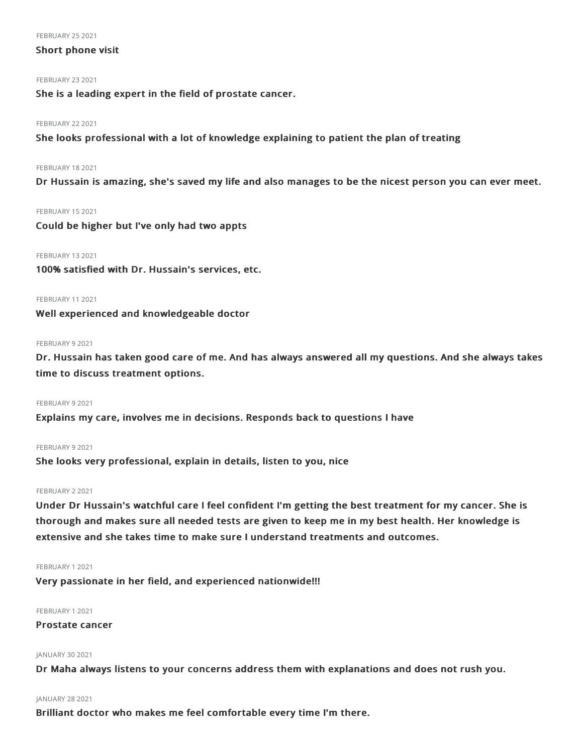#### **FEBRUARY 25 2021**

# Short phone visit

# **FEBRUARY 23 2021**

She is a leading expert in the field of prostate cancer.

# **FEBRUARY 22 2021**

She looks professional with a lot of knowledge explaining to patient the plan of treating

# FEBRUARY 18 2021

Dr Hussain is amazing, she's saved my life and also manages to be the nicest person you can ever meet.

# FEBRUARY 15 2021

Could be higher but I've only had two appts

# FEBRUARY 13 2021

100% satisfied with Dr. Hussain's services, etc.

# FEBRUARY 112021

Well experienced and knowledgeable doctor

# FEBRUARY 92021

Dr. Hussain has taken good care of me. And has always answered all my questions. And she always takes time to discuss treatment options.

### FEBRUARY 9 2021

Explains my care, involves me in decisions. Responds back to questions I have

# FEBRUARY 9 2021

She looks very professional, explain in details, listen to you, nice

# FEBRUARY 22021

Under Dr Hussain's watchful care I feel confident I'm getting the best treatment for my cancer. She is thorough and makes sure all needed tests are given to keep me in my best health. Her knowledge is extensive and she takes time to make sure I understand treatments and outcomes.

### FEBRUARY 12021

Very passionate in her field, and experienced nationwide!!!

# FEBRUARY 12021

# Prostate cancer

# JANUARY 30 2021

Dr Maha always listens to your concerns address them with explanations and does not rush you.

# JANUARY 28 2021

Brilliant doctor who makes me feel comfortable every time I'm there.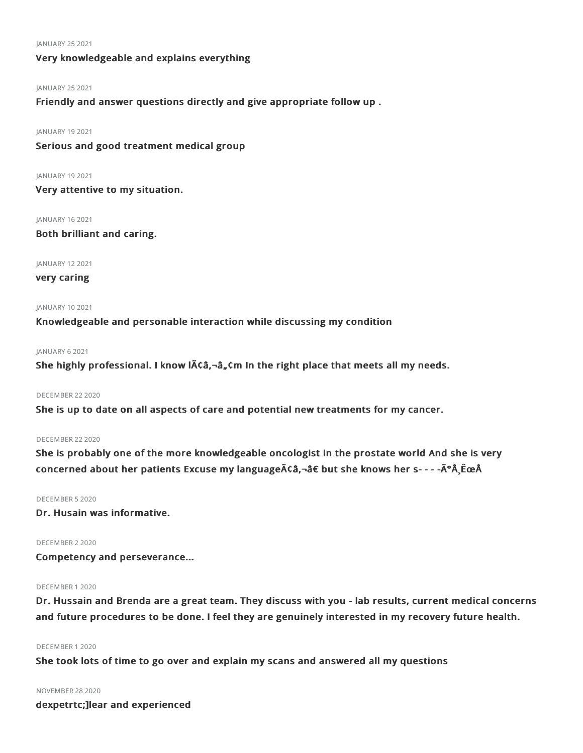#### JANUARY 25 2021

# Very knowledgeable and explains everything

# JANUARY 25 2021

Friendly and answer questions directly and give appropriate follow up .

### JANUARY 192021

Serious and good treatment medical group

### JANUARY 19 2021

Very attentive to my situation.

JANUARY 162021 Both brilliant and caring.

JANUARY 122021

# very caring

# JANUARY 102021 Knowledgeable and personable interaction while discussing my condition

### JANUARY 62021

She highly professional. I know  $\int \delta \hat{a} \cdot \delta_n$  Cm In the right place that meets all my needs.

# DECEMBER 222020

She is up to date on all aspects of care and potential new treatments for my cancer.

# DECEMBER 22 2020

She is probably one of the more knowledgeable oncologist in the prostate world And she is very concerned about her patients Excuse my languageâ€â€ but she knows her s- - - -ðŸ˜Å

## DECEMBER 52020

Dr. Husain was informative.

# DECEMBER 22020

Competency and perseverance...

### DECEMBER 12020

Dr. Hussain and Brenda are a great team. They discuss with you - lab results, current medical concerns and future procedures to be done. I feel they are genuinely interested in my recovery future health.

# DECEMBER 12020

She took lots of time to go over and explain my scans and answered all my questions

# NOVEMBER 282020

dexpetrtc;]lear and experienced